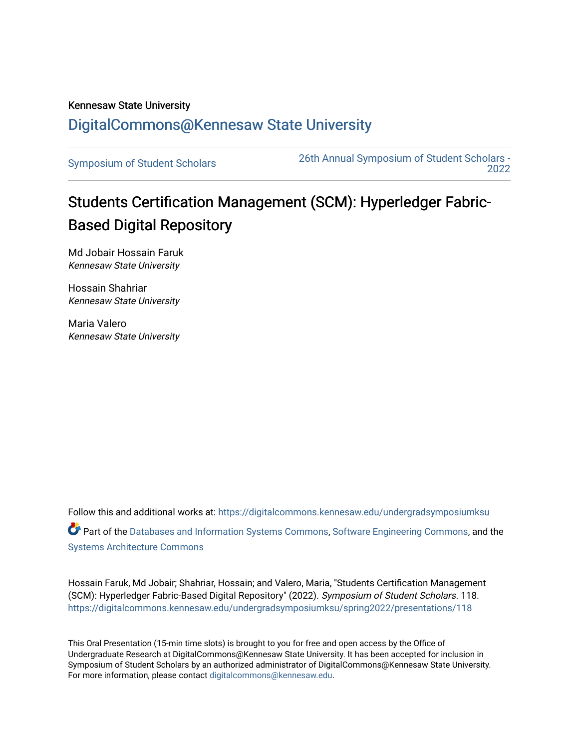## Kennesaw State University [DigitalCommons@Kennesaw State University](https://digitalcommons.kennesaw.edu/)

[Symposium of Student Scholars](https://digitalcommons.kennesaw.edu/undergradsymposiumksu) [26th Annual Symposium of Student Scholars -](https://digitalcommons.kennesaw.edu/undergradsymposiumksu/spring2022)  [2022](https://digitalcommons.kennesaw.edu/undergradsymposiumksu/spring2022) 

## Students Certification Management (SCM): Hyperledger Fabric-Based Digital Repository

Md Jobair Hossain Faruk Kennesaw State University

Hossain Shahriar Kennesaw State University

Maria Valero Kennesaw State University

Follow this and additional works at: [https://digitalcommons.kennesaw.edu/undergradsymposiumksu](https://digitalcommons.kennesaw.edu/undergradsymposiumksu?utm_source=digitalcommons.kennesaw.edu%2Fundergradsymposiumksu%2Fspring2022%2Fpresentations%2F118&utm_medium=PDF&utm_campaign=PDFCoverPages)  Part of the [Databases and Information Systems Commons](http://network.bepress.com/hgg/discipline/145?utm_source=digitalcommons.kennesaw.edu%2Fundergradsymposiumksu%2Fspring2022%2Fpresentations%2F118&utm_medium=PDF&utm_campaign=PDFCoverPages), [Software Engineering Commons](http://network.bepress.com/hgg/discipline/150?utm_source=digitalcommons.kennesaw.edu%2Fundergradsymposiumksu%2Fspring2022%2Fpresentations%2F118&utm_medium=PDF&utm_campaign=PDFCoverPages), and the [Systems Architecture Commons](http://network.bepress.com/hgg/discipline/144?utm_source=digitalcommons.kennesaw.edu%2Fundergradsymposiumksu%2Fspring2022%2Fpresentations%2F118&utm_medium=PDF&utm_campaign=PDFCoverPages) 

Hossain Faruk, Md Jobair; Shahriar, Hossain; and Valero, Maria, "Students Certification Management (SCM): Hyperledger Fabric-Based Digital Repository" (2022). Symposium of Student Scholars. 118. [https://digitalcommons.kennesaw.edu/undergradsymposiumksu/spring2022/presentations/118](https://digitalcommons.kennesaw.edu/undergradsymposiumksu/spring2022/presentations/118?utm_source=digitalcommons.kennesaw.edu%2Fundergradsymposiumksu%2Fspring2022%2Fpresentations%2F118&utm_medium=PDF&utm_campaign=PDFCoverPages)

This Oral Presentation (15-min time slots) is brought to you for free and open access by the Office of Undergraduate Research at DigitalCommons@Kennesaw State University. It has been accepted for inclusion in Symposium of Student Scholars by an authorized administrator of DigitalCommons@Kennesaw State University. For more information, please contact [digitalcommons@kennesaw.edu.](mailto:digitalcommons@kennesaw.edu)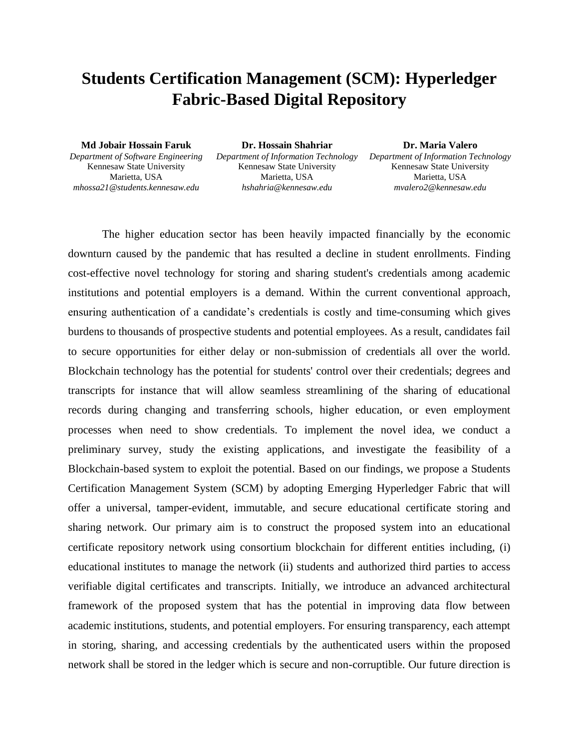## **Students Certification Management (SCM): Hyperledger Fabric-Based Digital Repository**

**Md Jobair Hossain Faruk** *Department of Software Engineering* Kennesaw State University Marietta, USA *mhossa21@students.kennesaw.edu*

**Dr. Hossain Shahriar** *Department of Information Technology* Kennesaw State University Marietta, USA *hshahria@kennesaw.edu*

**Dr. Maria Valero** *Department of Information Technology* Kennesaw State University Marietta, USA *mvalero2@kennesaw.edu*

The higher education sector has been heavily impacted financially by the economic downturn caused by the pandemic that has resulted a decline in student enrollments. Finding cost-effective novel technology for storing and sharing student's credentials among academic institutions and potential employers is a demand. Within the current conventional approach, ensuring authentication of a candidate's credentials is costly and time-consuming which gives burdens to thousands of prospective students and potential employees. As a result, candidates fail to secure opportunities for either delay or non-submission of credentials all over the world. Blockchain technology has the potential for students' control over their credentials; degrees and transcripts for instance that will allow seamless streamlining of the sharing of educational records during changing and transferring schools, higher education, or even employment processes when need to show credentials. To implement the novel idea, we conduct a preliminary survey, study the existing applications, and investigate the feasibility of a Blockchain-based system to exploit the potential. Based on our findings, we propose a Students Certification Management System (SCM) by adopting Emerging Hyperledger Fabric that will offer a universal, tamper-evident, immutable, and secure educational certificate storing and sharing network. Our primary aim is to construct the proposed system into an educational certificate repository network using consortium blockchain for different entities including, (i) educational institutes to manage the network (ii) students and authorized third parties to access verifiable digital certificates and transcripts. Initially, we introduce an advanced architectural framework of the proposed system that has the potential in improving data flow between academic institutions, students, and potential employers. For ensuring transparency, each attempt in storing, sharing, and accessing credentials by the authenticated users within the proposed network shall be stored in the ledger which is secure and non-corruptible. Our future direction is